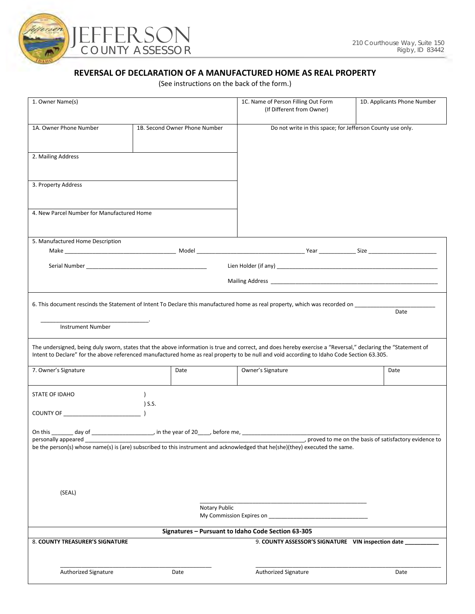

### **REVERSAL OF DECLARATION OF A MANUFACTURED HOME AS REAL PROPERTY**

(See instructions on the back of the form.)

| 1. Owner Name(s)                           |                                                                                                     | 1C. Name of Person Filling Out Form<br>(If Different from Owner)                                                                                                                                                                                                                                           | 1D. Applicants Phone Number                           |
|--------------------------------------------|-----------------------------------------------------------------------------------------------------|------------------------------------------------------------------------------------------------------------------------------------------------------------------------------------------------------------------------------------------------------------------------------------------------------------|-------------------------------------------------------|
| 1A. Owner Phone Number                     | 1B. Second Owner Phone Number                                                                       | Do not write in this space; for Jefferson County use only.                                                                                                                                                                                                                                                 |                                                       |
| 2. Mailing Address                         |                                                                                                     |                                                                                                                                                                                                                                                                                                            |                                                       |
| 3. Property Address                        |                                                                                                     |                                                                                                                                                                                                                                                                                                            |                                                       |
| 4. New Parcel Number for Manufactured Home |                                                                                                     |                                                                                                                                                                                                                                                                                                            |                                                       |
| 5. Manufactured Home Description           |                                                                                                     |                                                                                                                                                                                                                                                                                                            |                                                       |
|                                            |                                                                                                     |                                                                                                                                                                                                                                                                                                            |                                                       |
|                                            |                                                                                                     |                                                                                                                                                                                                                                                                                                            |                                                       |
|                                            |                                                                                                     |                                                                                                                                                                                                                                                                                                            |                                                       |
| <b>Instrument Number</b>                   |                                                                                                     | 6. This document rescinds the Statement of Intent To Declare this manufactured home as real property, which was recorded on                                                                                                                                                                                | Date                                                  |
|                                            |                                                                                                     | The undersigned, being duly sworn, states that the above information is true and correct, and does hereby exercise a "Reversal," declaring the "Statement of<br>Intent to Declare" for the above referenced manufactured home as real property to be null and void according to Idaho Code Section 63.305. |                                                       |
| 7. Owner's Signature                       | Date                                                                                                | Owner's Signature                                                                                                                                                                                                                                                                                          | Date                                                  |
| STATE OF IDAHO                             | $\overline{\phantom{a}}$ S.S.                                                                       |                                                                                                                                                                                                                                                                                                            |                                                       |
|                                            |                                                                                                     |                                                                                                                                                                                                                                                                                                            |                                                       |
| personally appeared                        | On this _______ day of _________________________, in the year of 20_____, before me, ______________ |                                                                                                                                                                                                                                                                                                            | proved to me on the basis of satisfactory evidence to |
|                                            |                                                                                                     | be the person(s) whose name(s) is (are) subscribed to this instrument and acknowledged that he(she)(they) executed the same.                                                                                                                                                                               |                                                       |
|                                            |                                                                                                     |                                                                                                                                                                                                                                                                                                            |                                                       |
| (SEAL)                                     |                                                                                                     |                                                                                                                                                                                                                                                                                                            |                                                       |
|                                            | Notary Public                                                                                       | My Commission Expires on                                                                                                                                                                                                                                                                                   |                                                       |
|                                            |                                                                                                     | Signatures - Pursuant to Idaho Code Section 63-305                                                                                                                                                                                                                                                         |                                                       |
| 8. COUNTY TREASURER'S SIGNATURE            |                                                                                                     | 9. COUNTY ASSESSOR'S SIGNATURE VIN inspection date                                                                                                                                                                                                                                                         |                                                       |
| Authorized Signature                       | Date                                                                                                | Authorized Signature                                                                                                                                                                                                                                                                                       | Date                                                  |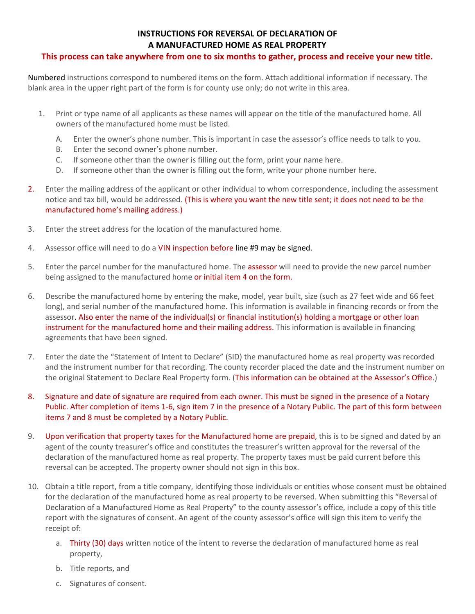## **INSTRUCTIONS FOR REVERSAL OF DECLARATION OF A MANUFACTURED HOME AS REAL PROPERTY**

#### **This process can take anywhere from one to six months to gather, process and receive your new title.**

Numbered instructions correspond to numbered items on the form. Attach additional information if necessary. The blank area in the upper right part of the form is for county use only; do not write in this area.

- 1. Print or type name of all applicants as these names will appear on the title of the manufactured home. All owners of the manufactured home must be listed.
	- A. Enter the owner's phone number. This is important in case the assessor's office needs to talk to you.
	- B. Enter the second owner's phone number.
	- C. If someone other than the owner is filling out the form, print your name here.
	- D. If someone other than the owner is filling out the form, write your phone number here.
- 2. Enter the mailing address of the applicant or other individual to whom correspondence, including the assessment notice and tax bill, would be addressed. (This is where you want the new title sent; it does not need to be the manufactured home's mailing address.)
- 3. Enter the street address for the location of the manufactured home.
- 4. Assessor office will need to do a VIN inspection before line #9 may be signed.
- 5. Enter the parcel number for the manufactured home. The assessor will need to provide the new parcel number being assigned to the manufactured home or initial item 4 on the form.
- 6. Describe the manufactured home by entering the make, model, year built, size (such as 27 feet wide and 66 feet long), and serial number of the manufactured home. This information is available in financing records or from the assessor. Also enter the name of the individual(s) or financial institution(s) holding a mortgage or other loan instrument for the manufactured home and their mailing address. This information is available in financing agreements that have been signed.
- 7. Enter the date the "Statement of Intent to Declare" (SID) the manufactured home as real property was recorded and the instrument number for that recording. The county recorder placed the date and the instrument number on the original Statement to Declare Real Property form. (This information can be obtained at the Assessor's Office.)
- 8. Signature and date of signature are required from each owner. This must be signed in the presence of a Notary Public. After completion of items 1-6, sign item 7 in the presence of a Notary Public. The part of this form between items 7 and 8 must be completed by a Notary Public.
- 9. Upon verification that property taxes for the Manufactured home are prepaid, this is to be signed and dated by an agent of the county treasurer's office and constitutes the treasurer's written approval for the reversal of the declaration of the manufactured home as real property. The property taxes must be paid current before this reversal can be accepted. The property owner should not sign in this box.
- 10. Obtain a title report, from a title company, identifying those individuals or entities whose consent must be obtained for the declaration of the manufactured home as real property to be reversed. When submitting this "Reversal of Declaration of a Manufactured Home as Real Property" to the county assessor's office, include a copy of this title report with the signatures of consent. An agent of the county assessor's office will sign this item to verify the receipt of:
	- a. Thirty (30) days written notice of the intent to reverse the declaration of manufactured home as real property,
	- b. Title reports, and
	- c. Signatures of consent.